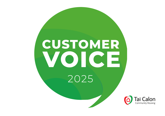# **CUSTOMER** VOICE 2025

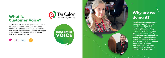## **What is Customer Voice?**



**Our Customer Voice strategy sets out how we will listen to customers to understand and improve the effectiveness of our services and how we can create opportunities for customers to get involved in shaping what we do and how we do it in the future.** 







## **Why are we doing it?**

 $\circ$ 

**Listening to customers, acting on their views and effective consultation will be vital in making sure Tai Calon achieves its mission of 90% customer satisfaction by 2025. Without frequent feedback, conversations, and engagement there is a significant risk that we will be unable to meet the diverse and constantly changing needs of our customers both now and in the future. Consequently, we will fail to achieve our 2025 mission.**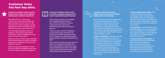**Customers feedback will be used to improve day to day service delivery and improve customer experience.** 

**We will do this in 2 main ways: • Ask for your views shortly after you have received a service from us. We will send you a text message or email asking you to rate our service out of 5 and tell us why you gave that score.** 

**• Provide listening posts (a link to a simple on line survey) which allow customers to give us feedback on any of our services at any time.**

**What you tell us will be used to identify and prioritise areas we need to improve along with continuing to focus on the things we do well.**

**When we get poor feedback, we will contact customers straight away to see if we can help to resolve the problem.** 



**Customers feedback will be used to provide a detailed assessment of overall organisational performance.** 

**We will ask customers to complete more detailed surveys twice a year which will help us to further understand how well we are performing and where we need to improve.** 

**These surveys will ask for feedback on the whole range of services we provide and will be used as the main way to measure our progress towards achieving 90% customer satisfaction by 2025.**

**The results from these surveys will also allow us to compare ourselves with other organisations and look for ways to learn and improve. This will include other housing associations and some well-known brands like Amazon.**



**Customers will have frequent opportunities to influence decision making and service design.** 

**We will continue to have a wide range of options through which we will consult with customers so they can express their views, opinions, and feelings on our plans for the future. The activities will be flexible so as many customers as possible can engage, in a way, and time that suits them. Some of these activities include:**

**•***Online consultation* **- We will use social media, our consultation hub on our website and emails as the main way to seek views and feedback on proposed changes that effect all our customers, e.g. our Repairs Procedure or our Rent Setting Policy. Where needed we may also supplement this approach with more traditional activities such as phone surveys and face to face or home visits.**

### **Customer Voice has four key aims.**



*• Tenant Quality Forum (TQF)* **–This is a group of tenants who meet on a regular basis to ensure that the feedback from our customers continues to be used to be influence the way deliver our services. They will also frequently monitor the quality of our services.** 

*•Focus groups* **– Groups of customers we bring together for a short period of time to participate in a conversation about specific areas for improvement or to help us with designing and testing new services.**

*•Local area-based consultation-***A series of local events and activities that will be used to discuss ideas, issues, and solutions to local community challenges. The information from these events will help to form the basis of our Community Improvement plans.**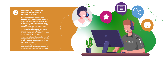$\bullet$   $\bullet$  $\overline{\phantom{0}}$ 

#### **Customers will know how our Customer Voice strategy is making a difference.**

*We will do this in 2 main ways: • Ask for your views* **shortly after you have received a service from us. We will send you a text message or email asking you to rate our service out of 5 and tell us why you gave that score.** 

*• Provide listening posts* **(a link to a simple on line survey) which allow customers to give us feedback on any of our services at any time.**

**What you tell us will be used to identify and prioritise areas we need to improve along with continuing to focus on the things we do well.**

**When we get poor feedback, we will contact customers straight away to see if we can help to resolve the problem.**